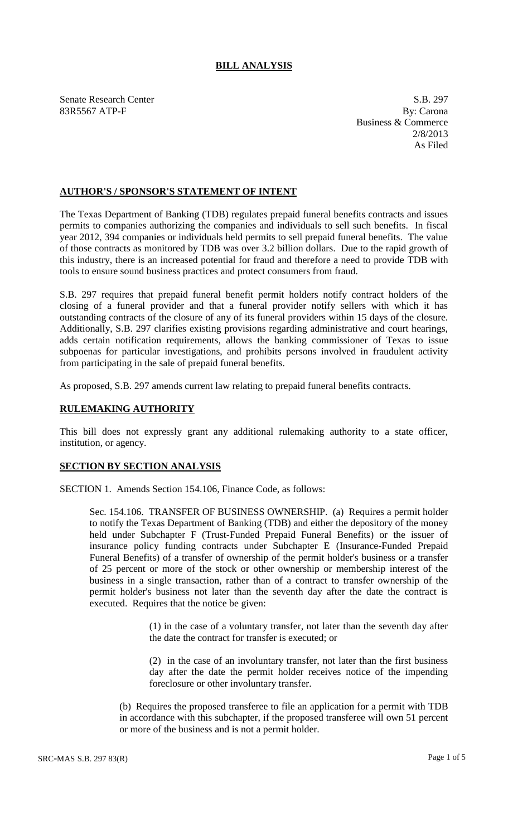## **BILL ANALYSIS**

Senate Research Center S.B. 297 83R5567 ATP-F By: Carona

Business & Commerce 2/8/2013 As Filed

## **AUTHOR'S / SPONSOR'S STATEMENT OF INTENT**

The Texas Department of Banking (TDB) regulates prepaid funeral benefits contracts and issues permits to companies authorizing the companies and individuals to sell such benefits. In fiscal year 2012, 394 companies or individuals held permits to sell prepaid funeral benefits. The value of those contracts as monitored by TDB was over 3.2 billion dollars. Due to the rapid growth of this industry, there is an increased potential for fraud and therefore a need to provide TDB with tools to ensure sound business practices and protect consumers from fraud.

S.B. 297 requires that prepaid funeral benefit permit holders notify contract holders of the closing of a funeral provider and that a funeral provider notify sellers with which it has outstanding contracts of the closure of any of its funeral providers within 15 days of the closure. Additionally, S.B. 297 clarifies existing provisions regarding administrative and court hearings, adds certain notification requirements, allows the banking commissioner of Texas to issue subpoenas for particular investigations, and prohibits persons involved in fraudulent activity from participating in the sale of prepaid funeral benefits.

As proposed, S.B. 297 amends current law relating to prepaid funeral benefits contracts.

## **RULEMAKING AUTHORITY**

This bill does not expressly grant any additional rulemaking authority to a state officer, institution, or agency.

## **SECTION BY SECTION ANALYSIS**

SECTION 1. Amends Section 154.106, Finance Code, as follows:

Sec. 154.106. TRANSFER OF BUSINESS OWNERSHIP. (a) Requires a permit holder to notify the Texas Department of Banking (TDB) and either the depository of the money held under Subchapter F (Trust-Funded Prepaid Funeral Benefits) or the issuer of insurance policy funding contracts under Subchapter E (Insurance-Funded Prepaid Funeral Benefits) of a transfer of ownership of the permit holder's business or a transfer of 25 percent or more of the stock or other ownership or membership interest of the business in a single transaction, rather than of a contract to transfer ownership of the permit holder's business not later than the seventh day after the date the contract is executed. Requires that the notice be given:

> (1) in the case of a voluntary transfer, not later than the seventh day after the date the contract for transfer is executed; or

> (2) in the case of an involuntary transfer, not later than the first business day after the date the permit holder receives notice of the impending foreclosure or other involuntary transfer.

(b) Requires the proposed transferee to file an application for a permit with TDB in accordance with this subchapter, if the proposed transferee will own 51 percent or more of the business and is not a permit holder.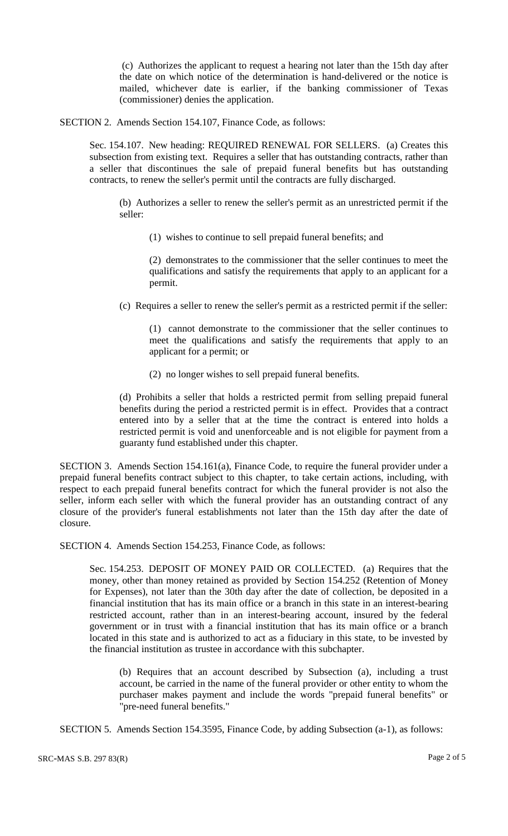(c) Authorizes the applicant to request a hearing not later than the 15th day after the date on which notice of the determination is hand-delivered or the notice is mailed, whichever date is earlier, if the banking commissioner of Texas (commissioner) denies the application.

SECTION 2. Amends Section 154.107, Finance Code, as follows:

Sec. 154.107. New heading: REQUIRED RENEWAL FOR SELLERS. (a) Creates this subsection from existing text. Requires a seller that has outstanding contracts, rather than a seller that discontinues the sale of prepaid funeral benefits but has outstanding contracts, to renew the seller's permit until the contracts are fully discharged.

(b) Authorizes a seller to renew the seller's permit as an unrestricted permit if the seller:

(1) wishes to continue to sell prepaid funeral benefits; and

(2) demonstrates to the commissioner that the seller continues to meet the qualifications and satisfy the requirements that apply to an applicant for a permit.

(c) Requires a seller to renew the seller's permit as a restricted permit if the seller:

(1) cannot demonstrate to the commissioner that the seller continues to meet the qualifications and satisfy the requirements that apply to an applicant for a permit; or

(2) no longer wishes to sell prepaid funeral benefits.

(d) Prohibits a seller that holds a restricted permit from selling prepaid funeral benefits during the period a restricted permit is in effect. Provides that a contract entered into by a seller that at the time the contract is entered into holds a restricted permit is void and unenforceable and is not eligible for payment from a guaranty fund established under this chapter.

SECTION 3. Amends Section 154.161(a), Finance Code, to require the funeral provider under a prepaid funeral benefits contract subject to this chapter, to take certain actions, including, with respect to each prepaid funeral benefits contract for which the funeral provider is not also the seller, inform each seller with which the funeral provider has an outstanding contract of any closure of the provider's funeral establishments not later than the 15th day after the date of closure.

SECTION 4. Amends Section 154.253, Finance Code, as follows:

Sec. 154.253. DEPOSIT OF MONEY PAID OR COLLECTED. (a) Requires that the money, other than money retained as provided by Section 154.252 (Retention of Money for Expenses), not later than the 30th day after the date of collection, be deposited in a financial institution that has its main office or a branch in this state in an interest-bearing restricted account, rather than in an interest-bearing account, insured by the federal government or in trust with a financial institution that has its main office or a branch located in this state and is authorized to act as a fiduciary in this state, to be invested by the financial institution as trustee in accordance with this subchapter.

(b) Requires that an account described by Subsection (a), including a trust account, be carried in the name of the funeral provider or other entity to whom the purchaser makes payment and include the words "prepaid funeral benefits" or "pre-need funeral benefits."

SECTION 5. Amends Section 154.3595, Finance Code, by adding Subsection (a-1), as follows: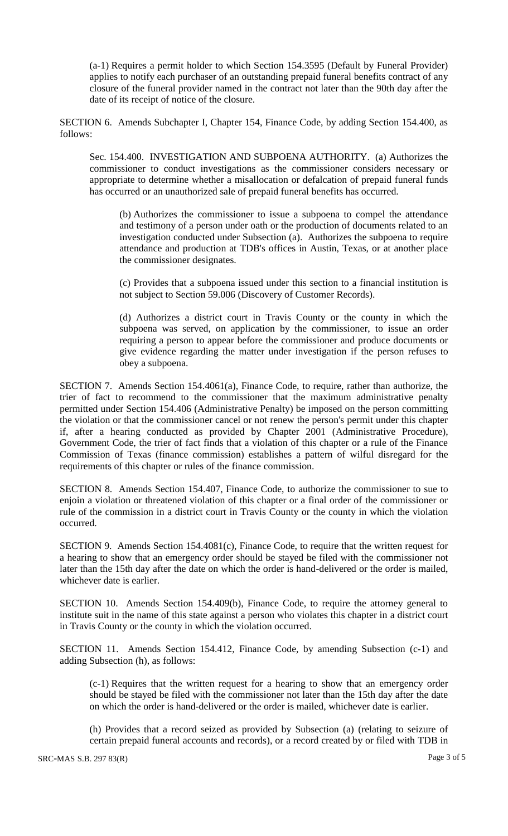(a-1) Requires a permit holder to which Section 154.3595 (Default by Funeral Provider) applies to notify each purchaser of an outstanding prepaid funeral benefits contract of any closure of the funeral provider named in the contract not later than the 90th day after the date of its receipt of notice of the closure.

SECTION 6. Amends Subchapter I, Chapter 154, Finance Code, by adding Section 154.400, as follows:

Sec. 154.400. INVESTIGATION AND SUBPOENA AUTHORITY. (a) Authorizes the commissioner to conduct investigations as the commissioner considers necessary or appropriate to determine whether a misallocation or defalcation of prepaid funeral funds has occurred or an unauthorized sale of prepaid funeral benefits has occurred.

(b) Authorizes the commissioner to issue a subpoena to compel the attendance and testimony of a person under oath or the production of documents related to an investigation conducted under Subsection (a). Authorizes the subpoena to require attendance and production at TDB's offices in Austin, Texas, or at another place the commissioner designates.

(c) Provides that a subpoena issued under this section to a financial institution is not subject to Section 59.006 (Discovery of Customer Records).

(d) Authorizes a district court in Travis County or the county in which the subpoena was served, on application by the commissioner, to issue an order requiring a person to appear before the commissioner and produce documents or give evidence regarding the matter under investigation if the person refuses to obey a subpoena.

SECTION 7. Amends Section 154.4061(a), Finance Code, to require, rather than authorize, the trier of fact to recommend to the commissioner that the maximum administrative penalty permitted under Section 154.406 (Administrative Penalty) be imposed on the person committing the violation or that the commissioner cancel or not renew the person's permit under this chapter if, after a hearing conducted as provided by Chapter 2001 (Administrative Procedure), Government Code, the trier of fact finds that a violation of this chapter or a rule of the Finance Commission of Texas (finance commission) establishes a pattern of wilful disregard for the requirements of this chapter or rules of the finance commission.

SECTION 8. Amends Section 154.407, Finance Code, to authorize the commissioner to sue to enjoin a violation or threatened violation of this chapter or a final order of the commissioner or rule of the commission in a district court in Travis County or the county in which the violation occurred.

SECTION 9. Amends Section 154.4081(c), Finance Code, to require that the written request for a hearing to show that an emergency order should be stayed be filed with the commissioner not later than the 15th day after the date on which the order is hand-delivered or the order is mailed, whichever date is earlier.

SECTION 10. Amends Section 154.409(b), Finance Code, to require the attorney general to institute suit in the name of this state against a person who violates this chapter in a district court in Travis County or the county in which the violation occurred.

SECTION 11. Amends Section 154.412, Finance Code, by amending Subsection (c-1) and adding Subsection (h), as follows:

(c-1) Requires that the written request for a hearing to show that an emergency order should be stayed be filed with the commissioner not later than the 15th day after the date on which the order is hand-delivered or the order is mailed, whichever date is earlier.

(h) Provides that a record seized as provided by Subsection (a) (relating to seizure of certain prepaid funeral accounts and records), or a record created by or filed with TDB in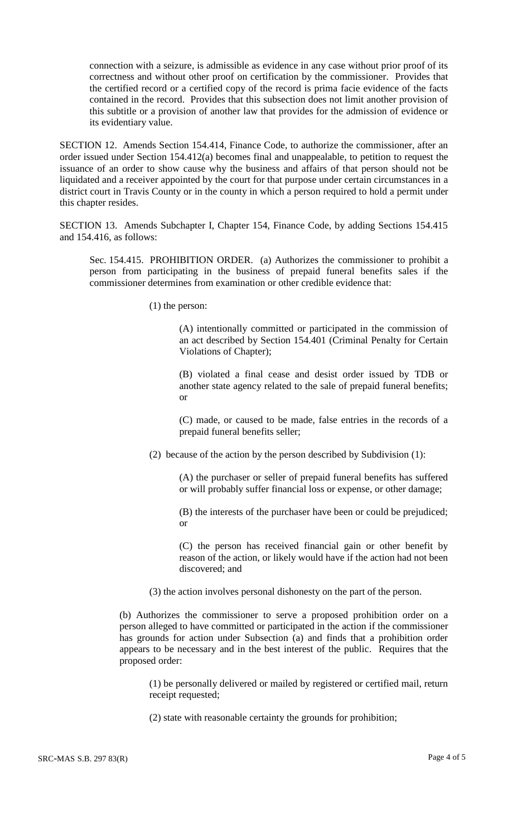connection with a seizure, is admissible as evidence in any case without prior proof of its correctness and without other proof on certification by the commissioner. Provides that the certified record or a certified copy of the record is prima facie evidence of the facts contained in the record. Provides that this subsection does not limit another provision of this subtitle or a provision of another law that provides for the admission of evidence or its evidentiary value.

SECTION 12. Amends Section 154.414, Finance Code, to authorize the commissioner, after an order issued under Section 154.412(a) becomes final and unappealable, to petition to request the issuance of an order to show cause why the business and affairs of that person should not be liquidated and a receiver appointed by the court for that purpose under certain circumstances in a district court in Travis County or in the county in which a person required to hold a permit under this chapter resides.

SECTION 13. Amends Subchapter I, Chapter 154, Finance Code, by adding Sections 154.415 and 154.416, as follows:

Sec. 154.415. PROHIBITION ORDER. (a) Authorizes the commissioner to prohibit a person from participating in the business of prepaid funeral benefits sales if the commissioner determines from examination or other credible evidence that:

(1) the person:

(A) intentionally committed or participated in the commission of an act described by Section 154.401 (Criminal Penalty for Certain Violations of Chapter);

(B) violated a final cease and desist order issued by TDB or another state agency related to the sale of prepaid funeral benefits; or

(C) made, or caused to be made, false entries in the records of a prepaid funeral benefits seller;

(2) because of the action by the person described by Subdivision (1):

(A) the purchaser or seller of prepaid funeral benefits has suffered or will probably suffer financial loss or expense, or other damage;

(B) the interests of the purchaser have been or could be prejudiced; or

(C) the person has received financial gain or other benefit by reason of the action, or likely would have if the action had not been discovered; and

(3) the action involves personal dishonesty on the part of the person.

(b) Authorizes the commissioner to serve a proposed prohibition order on a person alleged to have committed or participated in the action if the commissioner has grounds for action under Subsection (a) and finds that a prohibition order appears to be necessary and in the best interest of the public. Requires that the proposed order:

(1) be personally delivered or mailed by registered or certified mail, return receipt requested;

(2) state with reasonable certainty the grounds for prohibition;